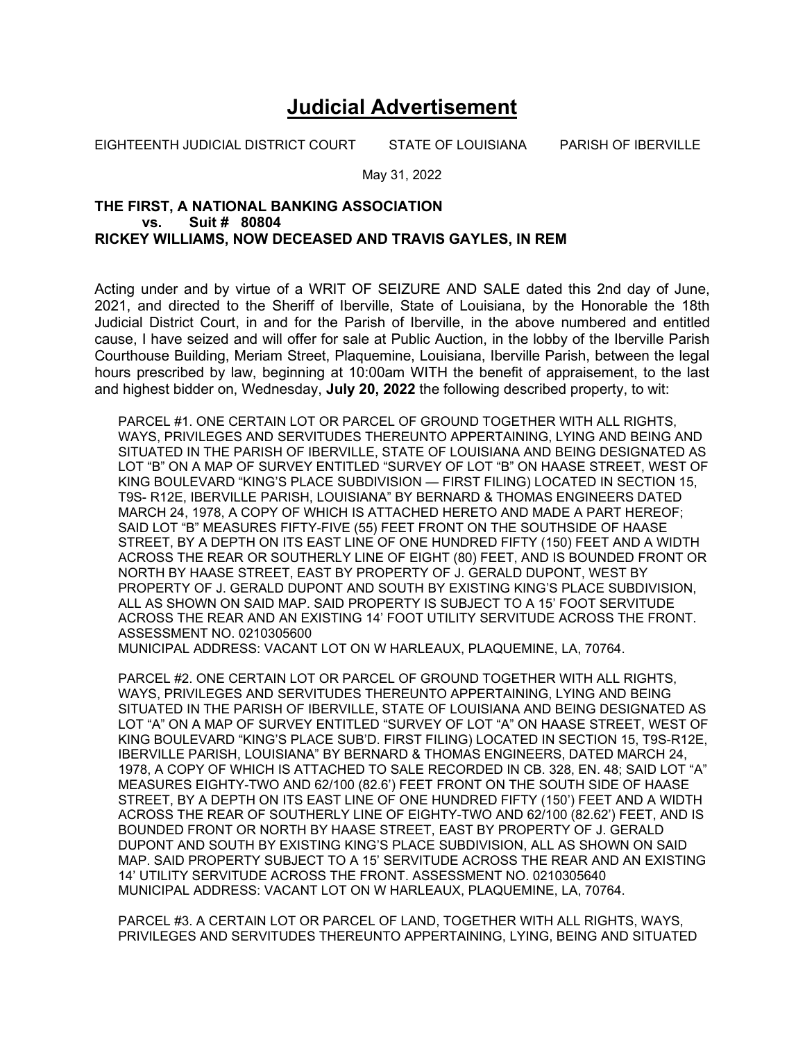## **Judicial Advertisement**

EIGHTEENTH JUDICIAL DISTRICT COURT STATE OF LOUISIANA PARISH OF IBERVILLE

May 31, 2022

## **THE FIRST, A NATIONAL BANKING ASSOCIATION vs. Suit # 80804 RICKEY WILLIAMS, NOW DECEASED AND TRAVIS GAYLES, IN REM**

Acting under and by virtue of a WRIT OF SEIZURE AND SALE dated this 2nd day of June, 2021, and directed to the Sheriff of Iberville, State of Louisiana, by the Honorable the 18th Judicial District Court, in and for the Parish of Iberville, in the above numbered and entitled cause, I have seized and will offer for sale at Public Auction, in the lobby of the Iberville Parish Courthouse Building, Meriam Street, Plaquemine, Louisiana, Iberville Parish, between the legal hours prescribed by law, beginning at 10:00am WITH the benefit of appraisement, to the last and highest bidder on, Wednesday, **July 20, 2022** the following described property, to wit:

PARCEL #1. ONE CERTAIN LOT OR PARCEL OF GROUND TOGETHER WITH ALL RIGHTS, WAYS, PRIVILEGES AND SERVITUDES THEREUNTO APPERTAINING, LYING AND BEING AND SITUATED IN THE PARISH OF IBERVILLE, STATE OF LOUISIANA AND BEING DESIGNATED AS LOT "B" ON A MAP OF SURVEY ENTITLED "SURVEY OF LOT "B" ON HAASE STREET, WEST OF KING BOULEVARD "KING'S PLACE SUBDIVISION — FIRST FILING) LOCATED IN SECTION 15, T9S- R12E, IBERVILLE PARISH, LOUISIANA" BY BERNARD & THOMAS ENGINEERS DATED MARCH 24, 1978, A COPY OF WHICH IS ATTACHED HERETO AND MADE A PART HEREOF; SAID LOT "B" MEASURES FIFTY-FIVE (55) FEET FRONT ON THE SOUTHSIDE OF HAASE STREET, BY A DEPTH ON ITS EAST LINE OF ONE HUNDRED FIFTY (150) FEET AND A WIDTH ACROSS THE REAR OR SOUTHERLY LINE OF EIGHT (80) FEET, AND IS BOUNDED FRONT OR NORTH BY HAASE STREET, EAST BY PROPERTY OF J. GERALD DUPONT, WEST BY PROPERTY OF J. GERALD DUPONT AND SOUTH BY EXISTING KING'S PLACE SUBDIVISION, ALL AS SHOWN ON SAID MAP. SAID PROPERTY IS SUBJECT TO A 15' FOOT SERVITUDE ACROSS THE REAR AND AN EXISTING 14' FOOT UTILITY SERVITUDE ACROSS THE FRONT. ASSESSMENT NO. 0210305600

MUNICIPAL ADDRESS: VACANT LOT ON W HARLEAUX, PLAQUEMINE, LA, 70764.

PARCEL #2. ONE CERTAIN LOT OR PARCEL OF GROUND TOGETHER WITH ALL RIGHTS, WAYS, PRIVILEGES AND SERVITUDES THEREUNTO APPERTAINING, LYING AND BEING SITUATED IN THE PARISH OF IBERVILLE, STATE OF LOUISIANA AND BEING DESIGNATED AS LOT "A" ON A MAP OF SURVEY ENTITLED "SURVEY OF LOT "A" ON HAASE STREET, WEST OF KING BOULEVARD "KING'S PLACE SUB'D. FIRST FILING) LOCATED IN SECTION 15, T9S-R12E, IBERVILLE PARISH, LOUISIANA" BY BERNARD & THOMAS ENGINEERS, DATED MARCH 24, 1978, A COPY OF WHICH IS ATTACHED TO SALE RECORDED IN CB. 328, EN. 48; SAID LOT "A" MEASURES EIGHTY-TWO AND 62/100 (82.6') FEET FRONT ON THE SOUTH SIDE OF HAASE STREET, BY A DEPTH ON ITS EAST LINE OF ONE HUNDRED FIFTY (150') FEET AND A WIDTH ACROSS THE REAR OF SOUTHERLY LINE OF EIGHTY-TWO AND 62/100 (82.62') FEET, AND IS BOUNDED FRONT OR NORTH BY HAASE STREET, EAST BY PROPERTY OF J. GERALD DUPONT AND SOUTH BY EXISTING KING'S PLACE SUBDIVISION, ALL AS SHOWN ON SAID MAP. SAID PROPERTY SUBJECT TO A 15' SERVITUDE ACROSS THE REAR AND AN EXISTING 14' UTILITY SERVITUDE ACROSS THE FRONT. ASSESSMENT NO. 0210305640 MUNICIPAL ADDRESS: VACANT LOT ON W HARLEAUX, PLAQUEMINE, LA, 70764.

PARCEL #3. A CERTAIN LOT OR PARCEL OF LAND, TOGETHER WITH ALL RIGHTS, WAYS, PRIVILEGES AND SERVITUDES THEREUNTO APPERTAINING, LYING, BEING AND SITUATED